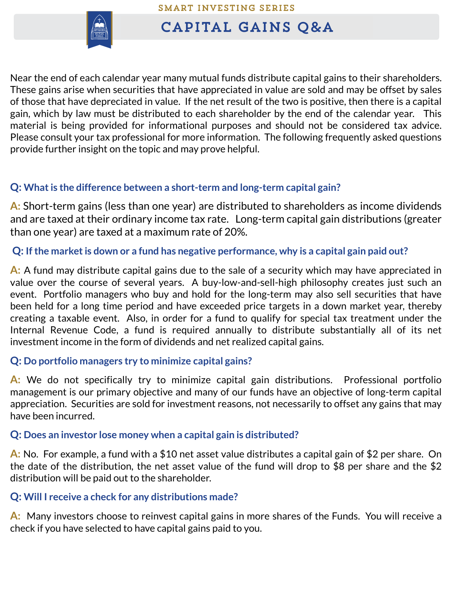

# CAPITAL GAINS O&A

Near the end of each calendar year many mutual funds distribute capital gains to their shareholders. These gains arise when securities that have appreciated in value are sold and may be offset by sales of those that have depreciated in value. If the net result of the two is positive, then there is a capital gain, which by law must be distributed to each shareholder by the end of the calendar year. This material is being provided for informational purposes and should not be considered tax advice. Please consult your tax professional for more information. The following frequently asked questions provide further insight on the topic and may prove helpful.

## **Q: What is the difference between a short-term and long-term capital gain?**

**A:** Short-term gains (less than one year) are distributed to shareholders as income dividends and are taxed at their ordinary income tax rate. Long-term capital gain distributions (greater than one year) are taxed at a maximum rate of 20%.

**Q: If the marketis down or a fund has negative performance, why is a capital gain paid out?**

**A:** A fund may distribute capital gains due to the sale of a security which may have appreciated in value over the course of several years. A buy-low-and-sell-high philosophy creates just such an event. Portfolio managers who buy and hold for the long-term may also sell securities that have been held for a long time period and have exceeded price targets in a down market year, thereby creating a taxable event. Also, in order for a fund to qualify for special tax treatment under the Internal Revenue Code, a fund is required annually to distribute substantially all of its net investment income in the form of dividends and net realized capital gains.

### **Q: Do portfolio managers try to minimize capital gains?**

**A:** We do not specifically try to minimize capital gain distributions. Professional portfolio management is our primary objective and many of our funds have an objective of long-term capital appreciation. Securities are sold for investment reasons, not necessarily to offset any gains that may have been incurred.

### **Q: Does an investor lose money when a capital gain is distributed?**

**A:** No. For example, a fund with a \$10 net asset value distributes a capital gain of \$2 per share. On the date of the distribution, the net asset value of the fund will drop to \$8 per share and the \$2 distribution will be paid out to the shareholder.

### **Q: Will I receive a check for any distributions made?**

**A:** Many investors choose to reinvest capital gains in more shares of the Funds. You will receive a check if you have selected to have capital gains paid to you.